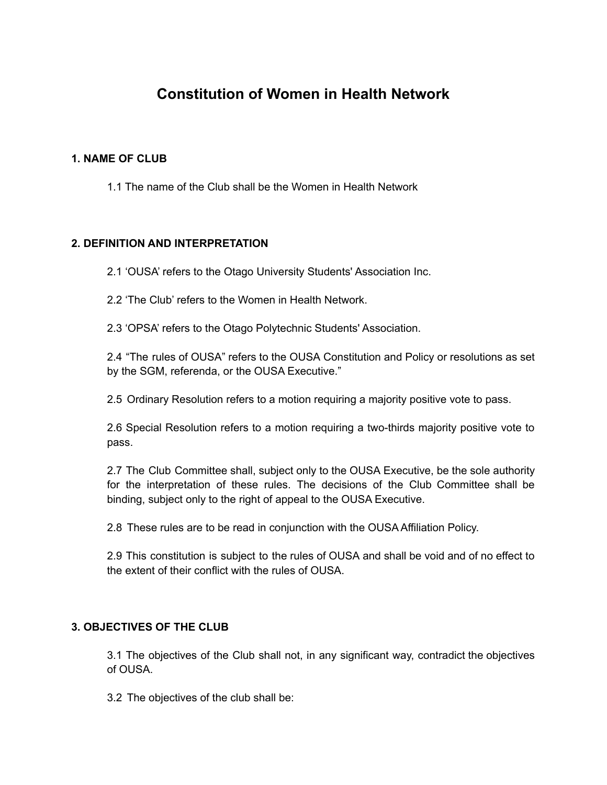# **Constitution of Women in Health Network**

## **1. NAME OF CLUB**

1.1 The name of the Club shall be the Women in Health Network

## **2. DEFINITION AND INTERPRETATION**

2.1 'OUSA' refers to the Otago University Students' Association Inc.

2.2 'The Club' refers to the Women in Health Network.

2.3 'OPSA' refers to the Otago Polytechnic Students' Association.

2.4 "The rules of OUSA" refers to the OUSA Constitution and Policy or resolutions as set by the SGM, referenda, or the OUSA Executive."

2.5 Ordinary Resolution refers to a motion requiring a majority positive vote to pass.

2.6 Special Resolution refers to a motion requiring a two-thirds majority positive vote to pass.

2.7 The Club Committee shall, subject only to the OUSA Executive, be the sole authority for the interpretation of these rules. The decisions of the Club Committee shall be binding, subject only to the right of appeal to the OUSA Executive.

2.8 These rules are to be read in conjunction with the OUSA Affiliation Policy.

2.9 This constitution is subject to the rules of OUSA and shall be void and of no effect to the extent of their conflict with the rules of OUSA.

#### **3. OBJECTIVES OF THE CLUB**

3.1 The objectives of the Club shall not, in any significant way, contradict the objectives of OUSA.

3.2 The objectives of the club shall be: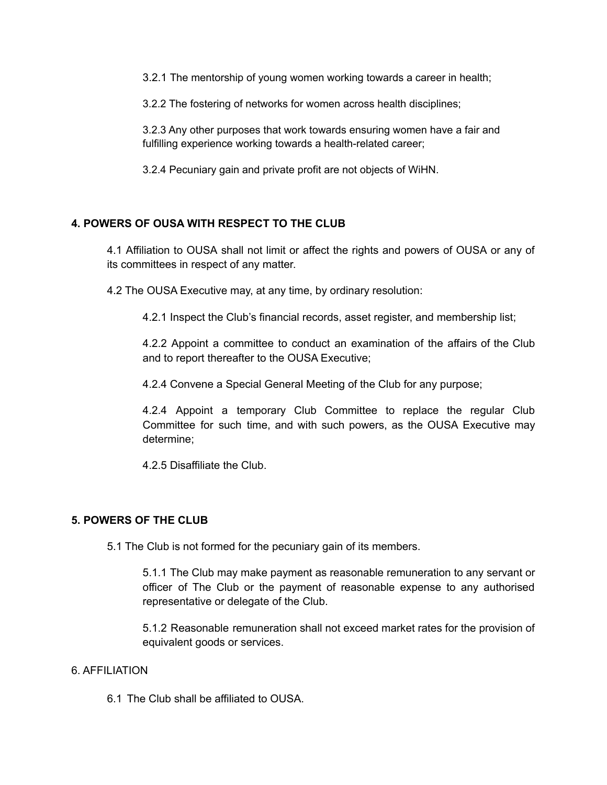3.2.1 The mentorship of young women working towards a career in health;

3.2.2 The fostering of networks for women across health disciplines;

3.2.3 Any other purposes that work towards ensuring women have a fair and fulfilling experience working towards a health-related career;

3.2.4 Pecuniary gain and private profit are not objects of WiHN.

# **4. POWERS OF OUSA WITH RESPECT TO THE CLUB**

4.1 Affiliation to OUSA shall not limit or affect the rights and powers of OUSA or any of its committees in respect of any matter.

4.2 The OUSA Executive may, at any time, by ordinary resolution:

4.2.1 Inspect the Club's financial records, asset register, and membership list;

4.2.2 Appoint a committee to conduct an examination of the affairs of the Club and to report thereafter to the OUSA Executive;

4.2.4 Convene a Special General Meeting of the Club for any purpose;

4.2.4 Appoint a temporary Club Committee to replace the regular Club Committee for such time, and with such powers, as the OUSA Executive may determine;

4.2.5 Disaffiliate the Club.

# **5. POWERS OF THE CLUB**

5.1 The Club is not formed for the pecuniary gain of its members.

5.1.1 The Club may make payment as reasonable remuneration to any servant or officer of The Club or the payment of reasonable expense to any authorised representative or delegate of the Club.

5.1.2 Reasonable remuneration shall not exceed market rates for the provision of equivalent goods or services.

#### 6. AFFILIATION

6.1 The Club shall be affiliated to OUSA.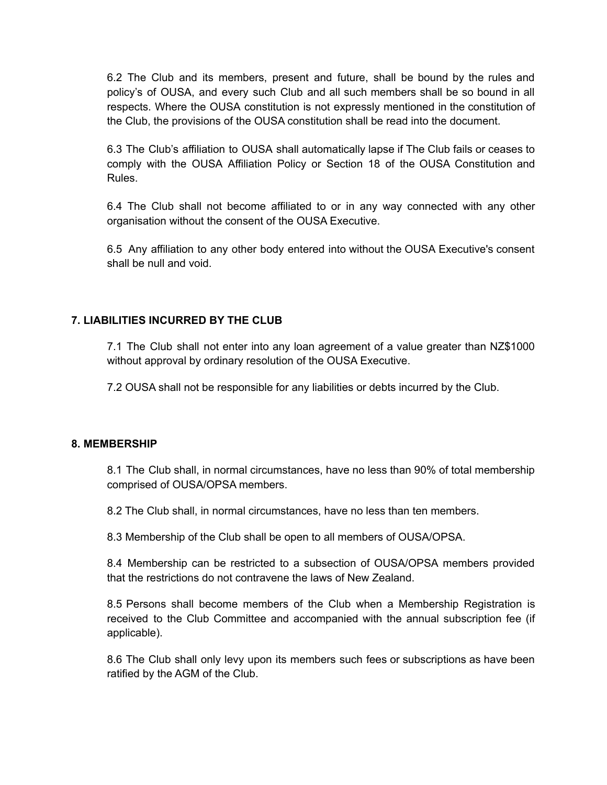6.2 The Club and its members, present and future, shall be bound by the rules and policy's of OUSA, and every such Club and all such members shall be so bound in all respects. Where the OUSA constitution is not expressly mentioned in the constitution of the Club, the provisions of the OUSA constitution shall be read into the document.

6.3 The Club's affiliation to OUSA shall automatically lapse if The Club fails or ceases to comply with the OUSA Affiliation Policy or Section 18 of the OUSA Constitution and Rules.

6.4 The Club shall not become affiliated to or in any way connected with any other organisation without the consent of the OUSA Executive.

6.5 Any affiliation to any other body entered into without the OUSA Executive's consent shall be null and void.

# **7. LIABILITIES INCURRED BY THE CLUB**

7.1 The Club shall not enter into any loan agreement of a value greater than NZ\$1000 without approval by ordinary resolution of the OUSA Executive.

7.2 OUSA shall not be responsible for any liabilities or debts incurred by the Club.

#### **8. MEMBERSHIP**

8.1 The Club shall, in normal circumstances, have no less than 90% of total membership comprised of OUSA/OPSA members.

8.2 The Club shall, in normal circumstances, have no less than ten members.

8.3 Membership of the Club shall be open to all members of OUSA/OPSA.

8.4 Membership can be restricted to a subsection of OUSA/OPSA members provided that the restrictions do not contravene the laws of New Zealand.

8.5 Persons shall become members of the Club when a Membership Registration is received to the Club Committee and accompanied with the annual subscription fee (if applicable).

8.6 The Club shall only levy upon its members such fees or subscriptions as have been ratified by the AGM of the Club.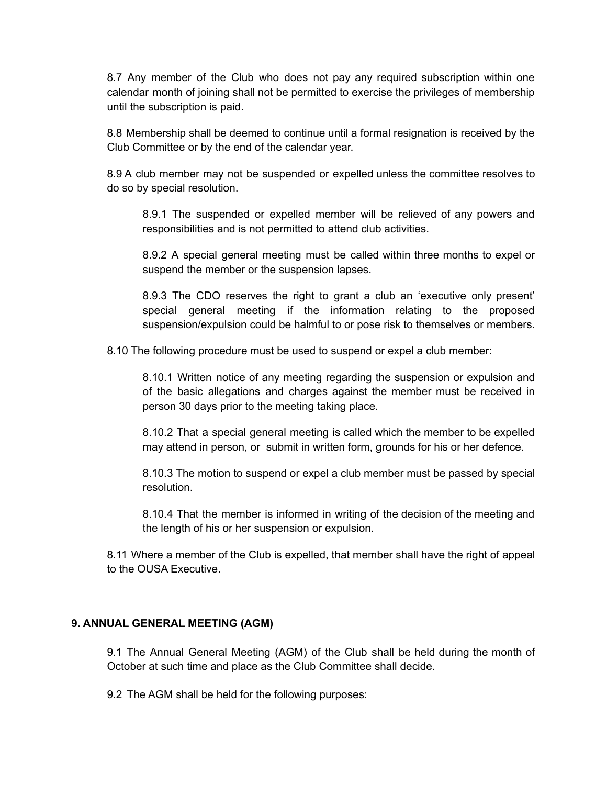8.7 Any member of the Club who does not pay any required subscription within one calendar month of joining shall not be permitted to exercise the privileges of membership until the subscription is paid.

8.8 Membership shall be deemed to continue until a formal resignation is received by the Club Committee or by the end of the calendar year.

8.9 A club member may not be suspended or expelled unless the committee resolves to do so by special resolution.

8.9.1 The suspended or expelled member will be relieved of any powers and responsibilities and is not permitted to attend club activities.

8.9.2 A special general meeting must be called within three months to expel or suspend the member or the suspension lapses.

8.9.3 The CDO reserves the right to grant a club an 'executive only present' special general meeting if the information relating to the proposed suspension/expulsion could be halmful to or pose risk to themselves or members.

8.10 The following procedure must be used to suspend or expel a club member:

8.10.1 Written notice of any meeting regarding the suspension or expulsion and of the basic allegations and charges against the member must be received in person 30 days prior to the meeting taking place.

8.10.2 That a special general meeting is called which the member to be expelled may attend in person, or submit in written form, grounds for his or her defence.

8.10.3 The motion to suspend or expel a club member must be passed by special resolution.

8.10.4 That the member is informed in writing of the decision of the meeting and the length of his or her suspension or expulsion.

8.11 Where a member of the Club is expelled, that member shall have the right of appeal to the OUSA Executive.

#### **9. ANNUAL GENERAL MEETING (AGM)**

9.1 The Annual General Meeting (AGM) of the Club shall be held during the month of October at such time and place as the Club Committee shall decide.

9.2 The AGM shall be held for the following purposes: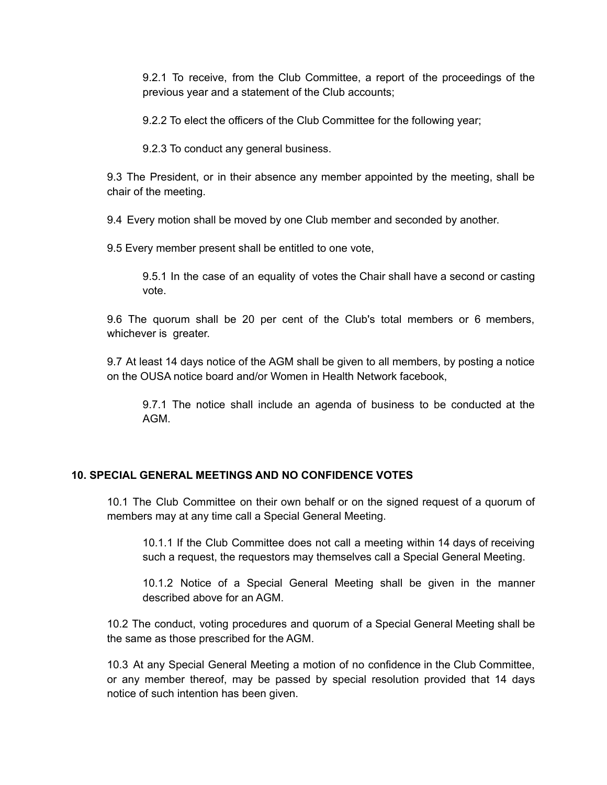9.2.1 To receive, from the Club Committee, a report of the proceedings of the previous year and a statement of the Club accounts;

9.2.2 To elect the officers of the Club Committee for the following year;

9.2.3 To conduct any general business.

9.3 The President, or in their absence any member appointed by the meeting, shall be chair of the meeting.

9.4 Every motion shall be moved by one Club member and seconded by another.

9.5 Every member present shall be entitled to one vote,

9.5.1 In the case of an equality of votes the Chair shall have a second or casting vote.

9.6 The quorum shall be 20 per cent of the Club's total members or 6 members, whichever is greater.

9.7 At least 14 days notice of the AGM shall be given to all members, by posting a notice on the OUSA notice board and/or Women in Health Network facebook,

9.7.1 The notice shall include an agenda of business to be conducted at the AGM.

#### **10. SPECIAL GENERAL MEETINGS AND NO CONFIDENCE VOTES**

10.1 The Club Committee on their own behalf or on the signed request of a quorum of members may at any time call a Special General Meeting.

10.1.1 If the Club Committee does not call a meeting within 14 days of receiving such a request, the requestors may themselves call a Special General Meeting.

10.1.2 Notice of a Special General Meeting shall be given in the manner described above for an AGM.

10.2 The conduct, voting procedures and quorum of a Special General Meeting shall be the same as those prescribed for the AGM.

10.3 At any Special General Meeting a motion of no confidence in the Club Committee, or any member thereof, may be passed by special resolution provided that 14 days notice of such intention has been given.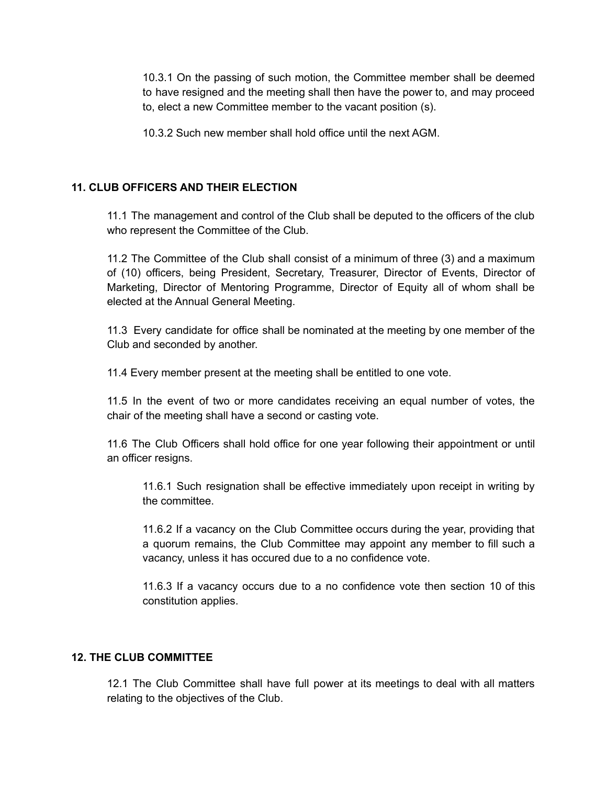10.3.1 On the passing of such motion, the Committee member shall be deemed to have resigned and the meeting shall then have the power to, and may proceed to, elect a new Committee member to the vacant position (s).

10.3.2 Such new member shall hold office until the next AGM.

## **11. CLUB OFFICERS AND THEIR ELECTION**

11.1 The management and control of the Club shall be deputed to the officers of the club who represent the Committee of the Club.

11.2 The Committee of the Club shall consist of a minimum of three (3) and a maximum of (10) officers, being President, Secretary, Treasurer, Director of Events, Director of Marketing, Director of Mentoring Programme, Director of Equity all of whom shall be elected at the Annual General Meeting.

11.3 Every candidate for office shall be nominated at the meeting by one member of the Club and seconded by another.

11.4 Every member present at the meeting shall be entitled to one vote.

11.5 In the event of two or more candidates receiving an equal number of votes, the chair of the meeting shall have a second or casting vote.

11.6 The Club Officers shall hold office for one year following their appointment or until an officer resigns.

11.6.1 Such resignation shall be effective immediately upon receipt in writing by the committee.

11.6.2 If a vacancy on the Club Committee occurs during the year, providing that a quorum remains, the Club Committee may appoint any member to fill such a vacancy, unless it has occured due to a no confidence vote.

11.6.3 If a vacancy occurs due to a no confidence vote then section 10 of this constitution applies.

#### **12. THE CLUB COMMITTEE**

12.1 The Club Committee shall have full power at its meetings to deal with all matters relating to the objectives of the Club.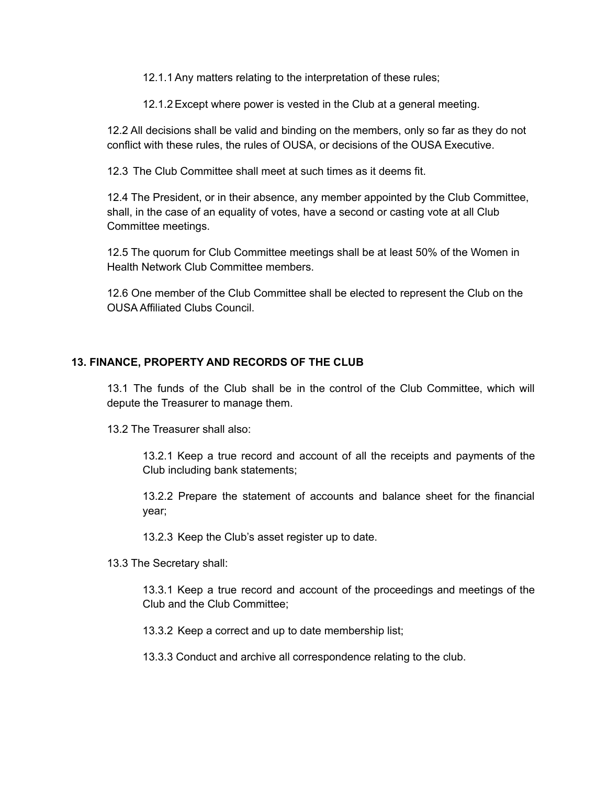12.1.1Any matters relating to the interpretation of these rules;

12.1.2Except where power is vested in the Club at a general meeting.

12.2 All decisions shall be valid and binding on the members, only so far as they do not conflict with these rules, the rules of OUSA, or decisions of the OUSA Executive.

12.3 The Club Committee shall meet at such times as it deems fit.

12.4 The President, or in their absence, any member appointed by the Club Committee, shall, in the case of an equality of votes, have a second or casting vote at all Club Committee meetings.

12.5 The quorum for Club Committee meetings shall be at least 50% of the Women in Health Network Club Committee members.

12.6 One member of the Club Committee shall be elected to represent the Club on the OUSA Affiliated Clubs Council.

## **13. FINANCE, PROPERTY AND RECORDS OF THE CLUB**

13.1 The funds of the Club shall be in the control of the Club Committee, which will depute the Treasurer to manage them.

13.2 The Treasurer shall also:

13.2.1 Keep a true record and account of all the receipts and payments of the Club including bank statements;

13.2.2 Prepare the statement of accounts and balance sheet for the financial year;

13.2.3 Keep the Club's asset register up to date.

13.3 The Secretary shall:

13.3.1 Keep a true record and account of the proceedings and meetings of the Club and the Club Committee;

13.3.2 Keep a correct and up to date membership list;

13.3.3 Conduct and archive all correspondence relating to the club.